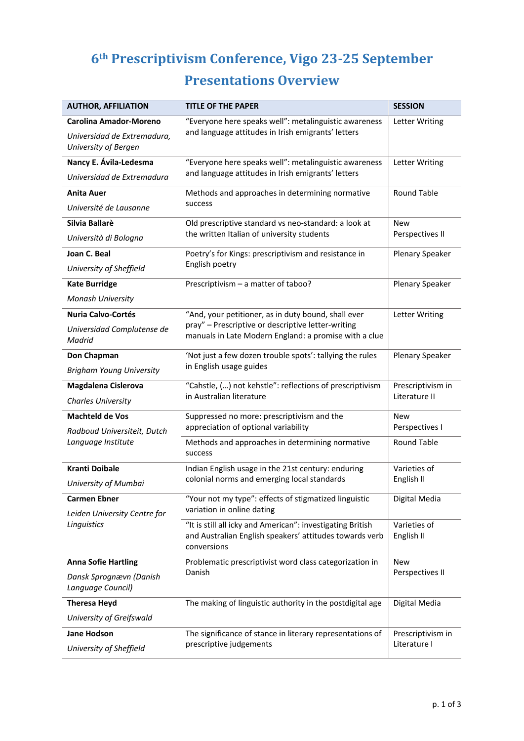## **6th Prescriptivism Conference, Vigo 23‐25 September Presentations Overview**

| <b>AUTHOR, AFFILIATION</b>                                         | <b>TITLE OF THE PAPER</b>                                                                                                            | <b>SESSION</b>                     |
|--------------------------------------------------------------------|--------------------------------------------------------------------------------------------------------------------------------------|------------------------------------|
| <b>Carolina Amador-Moreno</b>                                      | "Everyone here speaks well": metalinguistic awareness<br>and language attitudes in Irish emigrants' letters                          | Letter Writing                     |
| Universidad de Extremadura,<br>University of Bergen                |                                                                                                                                      |                                    |
| Nancy E. Ávila-Ledesma                                             | "Everyone here speaks well": metalinguistic awareness<br>and language attitudes in Irish emigrants' letters                          | Letter Writing                     |
| Universidad de Extremadura                                         |                                                                                                                                      |                                    |
| <b>Anita Auer</b>                                                  | Methods and approaches in determining normative<br>success                                                                           | <b>Round Table</b>                 |
| Université de Lausanne                                             |                                                                                                                                      |                                    |
| Silvia Ballarè                                                     | Old prescriptive standard vs neo-standard: a look at<br>the written Italian of university students                                   | <b>New</b><br>Perspectives II      |
| Università di Bologna                                              |                                                                                                                                      |                                    |
| Joan C. Beal                                                       | Poetry's for Kings: prescriptivism and resistance in<br>English poetry                                                               | Plenary Speaker                    |
| University of Sheffield                                            |                                                                                                                                      |                                    |
| <b>Kate Burridge</b>                                               | Prescriptivism - a matter of taboo?                                                                                                  | <b>Plenary Speaker</b>             |
| Monash University                                                  |                                                                                                                                      |                                    |
| <b>Nuria Calvo-Cortés</b>                                          | "And, your petitioner, as in duty bound, shall ever                                                                                  | Letter Writing                     |
| Universidad Complutense de<br>Madrid                               | pray" - Prescriptive or descriptive letter-writing<br>manuals in Late Modern England: a promise with a clue                          |                                    |
| Don Chapman                                                        | 'Not just a few dozen trouble spots': tallying the rules                                                                             | <b>Plenary Speaker</b>             |
| <b>Brigham Young University</b>                                    | in English usage guides                                                                                                              |                                    |
| Magdalena Cislerova                                                | "Cahstle, () not kehstle": reflections of prescriptivism                                                                             | Prescriptivism in<br>Literature II |
| <b>Charles University</b>                                          | in Australian literature                                                                                                             |                                    |
| <b>Machteld de Vos</b>                                             | Suppressed no more: prescriptivism and the                                                                                           | <b>New</b>                         |
| Radboud Universiteit, Dutch                                        | appreciation of optional variability                                                                                                 | Perspectives I                     |
| Language Institute                                                 | Methods and approaches in determining normative<br>success                                                                           | <b>Round Table</b>                 |
| <b>Kranti Doibale</b>                                              | Indian English usage in the 21st century: enduring                                                                                   | Varieties of<br>English II         |
| University of Mumbai                                               | colonial norms and emerging local standards                                                                                          |                                    |
| <b>Carmen Ebner</b><br>Leiden University Centre for<br>Linguistics | "Your not my type": effects of stigmatized linguistic<br>variation in online dating                                                  | Digital Media                      |
|                                                                    | "It is still all icky and American": investigating British<br>and Australian English speakers' attitudes towards verb<br>conversions | Varieties of<br>English II         |
| <b>Anna Sofie Hartling</b>                                         | Problematic prescriptivist word class categorization in                                                                              | <b>New</b><br>Perspectives II      |
| Dansk Sprognævn (Danish<br>Language Council)                       | Danish                                                                                                                               |                                    |
| <b>Theresa Heyd</b>                                                | The making of linguistic authority in the postdigital age                                                                            | Digital Media                      |
| University of Greifswald                                           |                                                                                                                                      |                                    |
| <b>Jane Hodson</b>                                                 | The significance of stance in literary representations of<br>prescriptive judgements                                                 | Prescriptivism in<br>Literature I  |
| University of Sheffield                                            |                                                                                                                                      |                                    |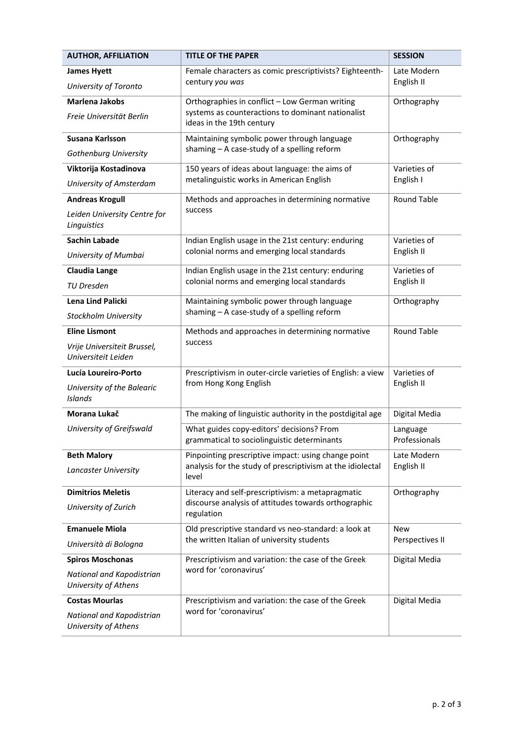| <b>AUTHOR, AFFILIATION</b>                         | <b>TITLE OF THE PAPER</b>                                                                                                        | <b>SESSION</b>                    |
|----------------------------------------------------|----------------------------------------------------------------------------------------------------------------------------------|-----------------------------------|
| <b>James Hyett</b>                                 | Female characters as comic prescriptivists? Eighteenth-<br>century you was                                                       | Late Modern<br>English II         |
| University of Toronto                              |                                                                                                                                  |                                   |
| <b>Marlena Jakobs</b>                              | Orthographies in conflict - Low German writing<br>systems as counteractions to dominant nationalist<br>ideas in the 19th century | Orthography                       |
| Freie Universität Berlin                           |                                                                                                                                  |                                   |
| Susana Karlsson                                    | Maintaining symbolic power through language<br>shaming - A case-study of a spelling reform                                       | Orthography                       |
| Gothenburg University                              |                                                                                                                                  |                                   |
| Viktorija Kostadinova                              | 150 years of ideas about language: the aims of<br>metalinguistic works in American English                                       | Varieties of<br>English I         |
| University of Amsterdam                            |                                                                                                                                  |                                   |
| <b>Andreas Krogull</b>                             | Methods and approaches in determining normative<br>success                                                                       | Round Table                       |
| Leiden University Centre for<br>Linguistics        |                                                                                                                                  |                                   |
| <b>Sachin Labade</b>                               | Indian English usage in the 21st century: enduring                                                                               | Varieties of                      |
| University of Mumbai                               | colonial norms and emerging local standards                                                                                      | English II                        |
| <b>Claudia Lange</b>                               | Indian English usage in the 21st century: enduring                                                                               | Varieties of<br>English II        |
| <b>TU Dresden</b>                                  | colonial norms and emerging local standards                                                                                      |                                   |
| Lena Lind Palicki                                  | Maintaining symbolic power through language                                                                                      | Orthography<br><b>Round Table</b> |
| Stockholm University                               | shaming - A case-study of a spelling reform                                                                                      |                                   |
| <b>Eline Lismont</b>                               | Methods and approaches in determining normative                                                                                  |                                   |
| Vrije Universiteit Brussel,<br>Universiteit Leiden | success                                                                                                                          |                                   |
| Lucía Loureiro-Porto                               | Prescriptivism in outer-circle varieties of English: a view<br>from Hong Kong English                                            | Varieties of<br>English II        |
| University of the Balearic<br>Islands              |                                                                                                                                  |                                   |
| Morana Lukač                                       | The making of linguistic authority in the postdigital age                                                                        | Digital Media                     |
| University of Greifswald                           | What guides copy-editors' decisions? From                                                                                        | Language                          |
|                                                    | grammatical to sociolinguistic determinants                                                                                      | Professionals                     |
| <b>Beth Malory</b>                                 | Pinpointing prescriptive impact: using change point<br>analysis for the study of prescriptivism at the idiolectal                | Late Modern<br>English II         |
| Lancaster University                               | level                                                                                                                            |                                   |
| <b>Dimitrios Meletis</b>                           | Literacy and self-prescriptivism: a metapragmatic                                                                                | Orthography                       |
| University of Zurich                               | discourse analysis of attitudes towards orthographic<br>regulation                                                               |                                   |
| <b>Emanuele Miola</b>                              | Old prescriptive standard vs neo-standard: a look at                                                                             | <b>New</b>                        |
| Università di Bologna                              | the written Italian of university students                                                                                       | Perspectives II                   |
| <b>Spiros Moschonas</b>                            | Prescriptivism and variation: the case of the Greek                                                                              | Digital Media                     |
| National and Kapodistrian<br>University of Athens  | word for 'coronavirus'                                                                                                           |                                   |
| <b>Costas Mourlas</b>                              | Prescriptivism and variation: the case of the Greek                                                                              | Digital Media                     |
| National and Kapodistrian<br>University of Athens  | word for 'coronavirus'                                                                                                           |                                   |